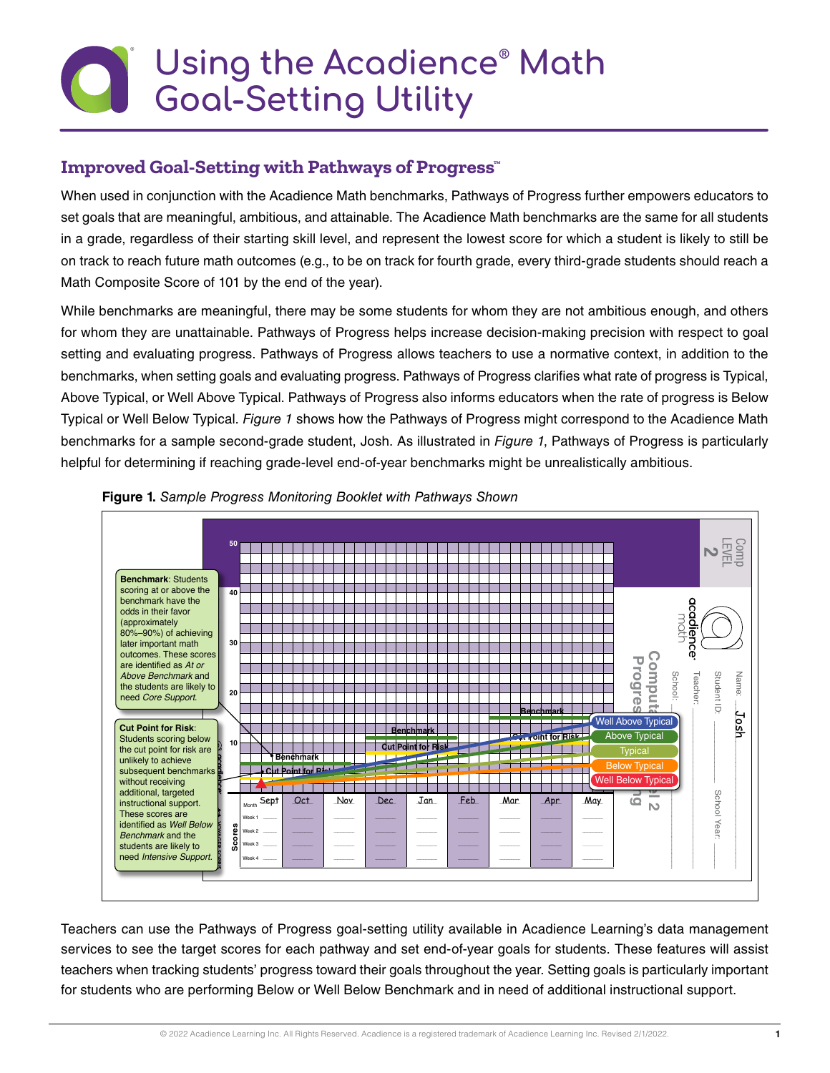# **Using the Acadience® Math Goal-Setting Utility**

## **Improved Goal-Setting with Pathways of Progress™**

When used in conjunction with the Acadience Math benchmarks, Pathways of Progress further empowers educators to set goals that are meaningful, ambitious, and attainable. The Acadience Math benchmarks are the same for all students in a grade, regardless of their starting skill level, and represent the lowest score for which a student is likely to still be on track to reach future math outcomes (e.g., to be on track for fourth grade, every third-grade students should reach a Math Composite Score of 101 by the end of the year).

While benchmarks are meaningful, there may be some students for whom they are not ambitious enough, and others for whom they are unattainable. Pathways of Progress helps increase decision-making precision with respect to goal setting and evaluating progress. Pathways of Progress allows teachers to use a normative context, in addition to the benchmarks, when setting goals and evaluating progress. Pathways of Progress clarifies what rate of progress is Typical, Above Typical, or Well Above Typical. Pathways of Progress also informs educators when the rate of progress is Below Typical or Well Below Typical. *Figure 1* shows how the Pathways of Progress might correspond to the Acadience Math benchmarks for a sample second-grade student, Josh. As illustrated in *Figure 1*, Pathways of Progress is particularly helpful for determining if reaching grade-level end-of-year benchmarks might be unrealistically ambitious.





Teachers can use the Pathways of Progress goal-setting utility available in Acadience Learning's data management services to see the target scores for each pathway and set end-of-year goals for students. These features will assist teachers when tracking students' progress toward their goals throughout the year. Setting goals is particularly important for students who are performing Below or Well Below Benchmark and in need of additional instructional support.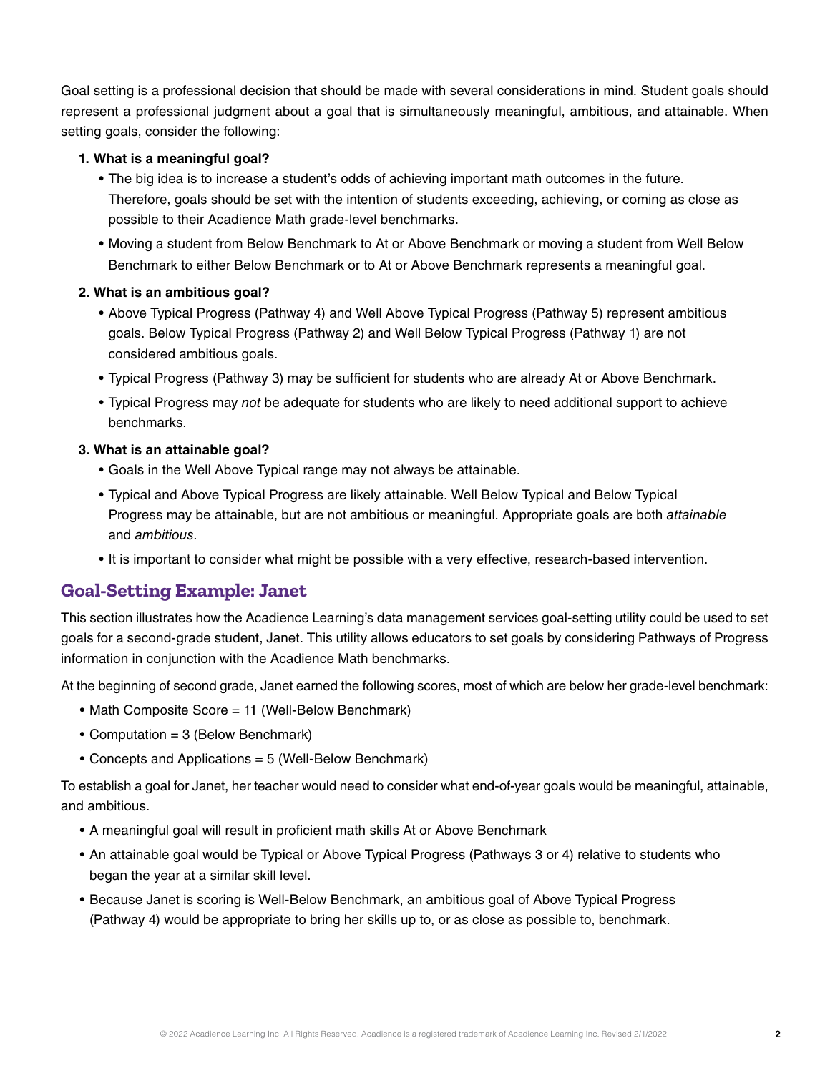Goal setting is a professional decision that should be made with several considerations in mind. Student goals should represent a professional judgment about a goal that is simultaneously meaningful, ambitious, and attainable. When setting goals, consider the following:

#### **1. What is a meaningful goal?**

- The big idea is to increase a student's odds of achieving important math outcomes in the future. Therefore, goals should be set with the intention of students exceeding, achieving, or coming as close as possible to their Acadience Math grade-level benchmarks.
- Moving a student from Below Benchmark to At or Above Benchmark or moving a student from Well Below Benchmark to either Below Benchmark or to At or Above Benchmark represents a meaningful goal.

### **2. What is an ambitious goal?**

- Above Typical Progress (Pathway 4) and Well Above Typical Progress (Pathway 5) represent ambitious goals. Below Typical Progress (Pathway 2) and Well Below Typical Progress (Pathway 1) are not considered ambitious goals.
- Typical Progress (Pathway 3) may be sufficient for students who are already At or Above Benchmark.
- Typical Progress may *not* be adequate for students who are likely to need additional support to achieve benchmarks.

### **3. What is an attainable goal?**

- Goals in the Well Above Typical range may not always be attainable.
- Typical and Above Typical Progress are likely attainable. Well Below Typical and Below Typical Progress may be attainable, but are not ambitious or meaningful. Appropriate goals are both *attainable* and *ambitious*.
- It is important to consider what might be possible with a very effective, research-based intervention.

## **Goal-Setting Example: Janet**

This section illustrates how the Acadience Learning's data management services goal-setting utility could be used to set goals for a second-grade student, Janet. This utility allows educators to set goals by considering Pathways of Progress information in conjunction with the Acadience Math benchmarks.

At the beginning of second grade, Janet earned the following scores, most of which are below her grade-level benchmark:

- Math Composite Score = 11 (Well-Below Benchmark)
- Computation = 3 (Below Benchmark)
- Concepts and Applications = 5 (Well-Below Benchmark)

To establish a goal for Janet, her teacher would need to consider what end-of-year goals would be meaningful, attainable, and ambitious.

- A meaningful goal will result in proficient math skills At or Above Benchmark
- An attainable goal would be Typical or Above Typical Progress (Pathways 3 or 4) relative to students who began the year at a similar skill level.
- Because Janet is scoring is Well-Below Benchmark, an ambitious goal of Above Typical Progress (Pathway 4) would be appropriate to bring her skills up to, or as close as possible to, benchmark.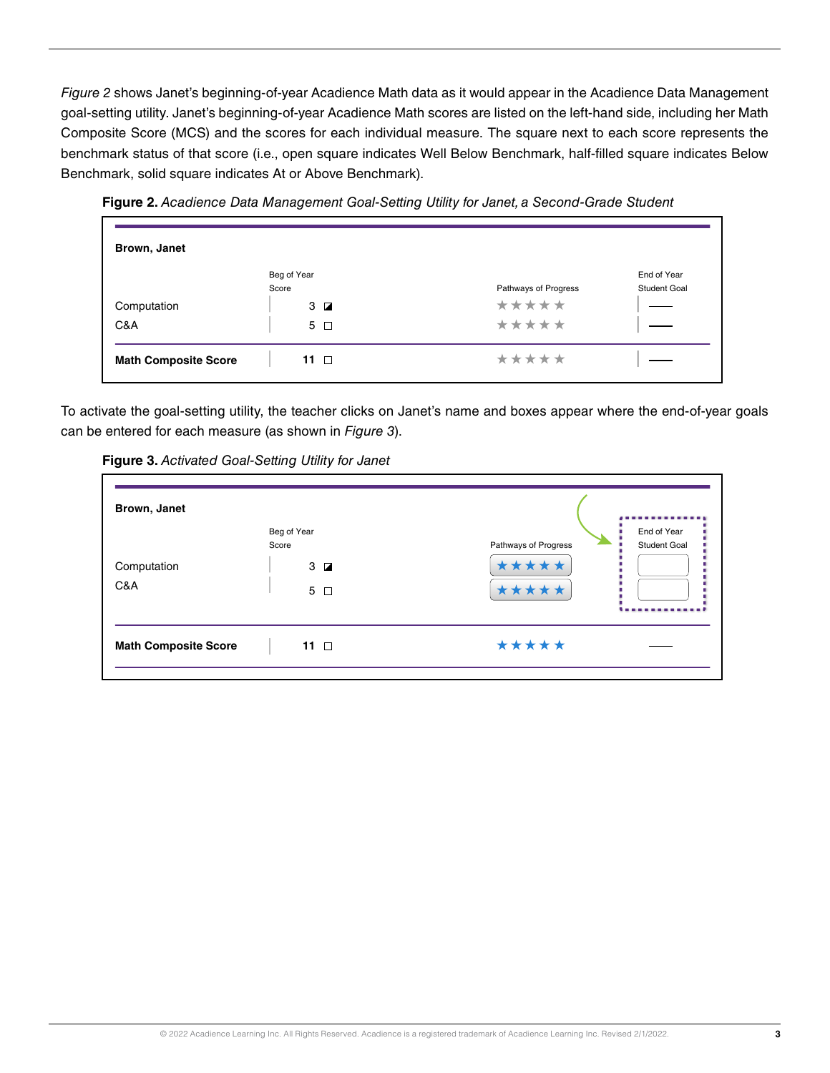*Figure 2* shows Janet's beginning-of-year Acadience Math data as it would appear in the Acadience Data Management goal-setting utility. Janet's beginning-of-year Acadience Math scores are listed on the left-hand side, including her Math Composite Score (MCS) and the scores for each individual measure. The square next to each score represents the benchmark status of that score (i.e., open square indicates Well Below Benchmark, half-filled square indicates Below Benchmark, solid square indicates At or Above Benchmark).



**Figure 2.** *Acadience Data Management Goal-Setting Utility for Janet, a Second-Grade Student*

To activate the goal-setting utility, the teacher clicks on Janet's name and boxes appear where the end-of-year goals can be entered for each measure (as shown in *Figure 3*).

**Figure 3.** *Activated Goal-Setting Utility for Janet*

| Brown, Janet                | Beg of Year        |                      | End of Year         |
|-----------------------------|--------------------|----------------------|---------------------|
| Score                       |                    | Pathways of Progress | <b>Student Goal</b> |
| Computation<br>C&A          | $3\Box$<br>$5\Box$ | *****<br>*****       |                     |
|                             |                    |                      |                     |
| <b>Math Composite Score</b> | 11 $\Box$          | *****                |                     |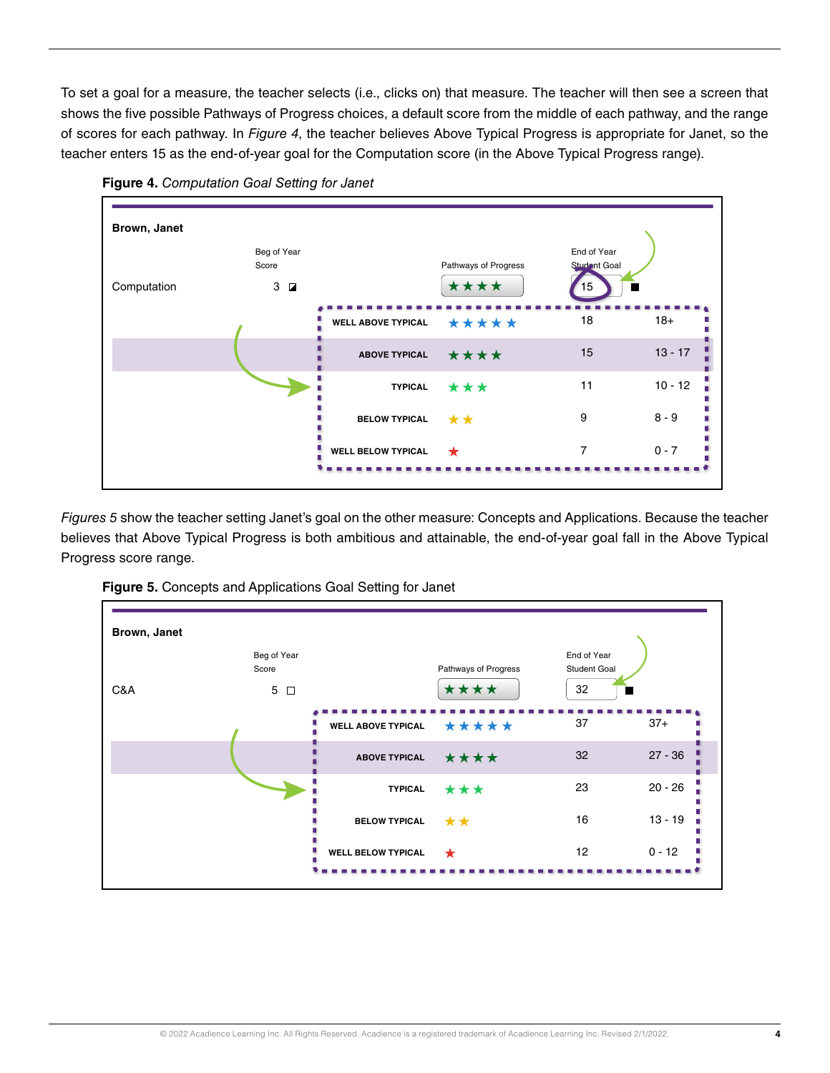To set a goal for a measure, the teacher selects (i.e., clicks on) that measure. The teacher will then see a screen that shows the five possible Pathways of Progress choices, a default score from the middle of each pathway, and the range of scores for each pathway. In *Figure 4*, the teacher believes Above Typical Progress is appropriate for Janet, so the teacher enters 15 as the end-of-year goal for the Computation score (in the Above Typical Progress range).



**Figure 4.** *Computation Goal Setting for Janet*

*Figures 5* show the teacher setting Janet's goal on the other measure: Concepts and Applications. Because the teacher believes that Above Typical Progress is both ambitious and attainable, the end-of-year goal fall in the Above Typical Progress score range.



**Figure 5.** Concepts and Applications Goal Setting for Janet